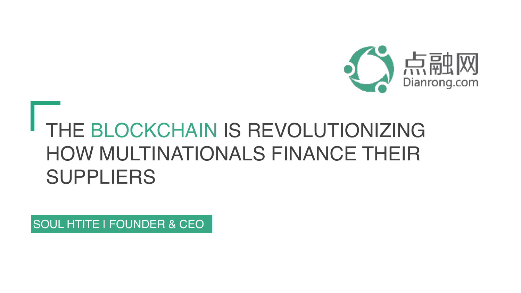

#### THE BLOCKCHAIN IS REVOLUTIONIZING HOW MULTINATIONALS FINANCE THEIR SUPPLIERS

SOUL HTITE | FOUNDER & CEO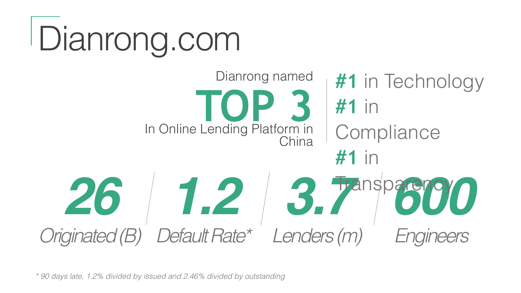# Dianrong.com



*\* 90 days late, 1.2% divided by issued and 2.46% divided by outstanding*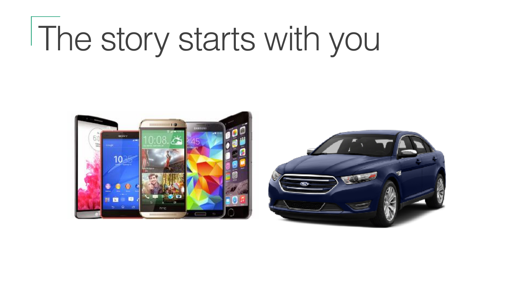## The story starts with you



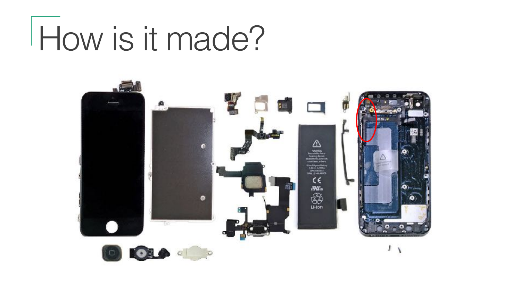## How is it made?

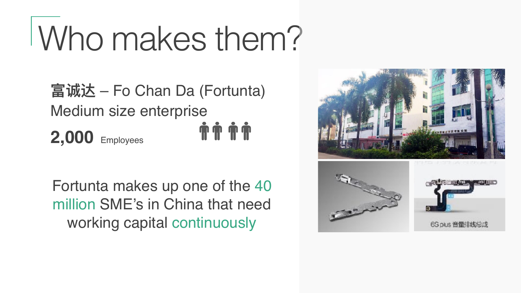## Who makes them?

**富诚达** – Fo Chan Da (Fortunta) Medium size enterprise **TTTT 2,000** Employees

Fortunta makes up one of the 40 million SME's in China that need working capital continuously

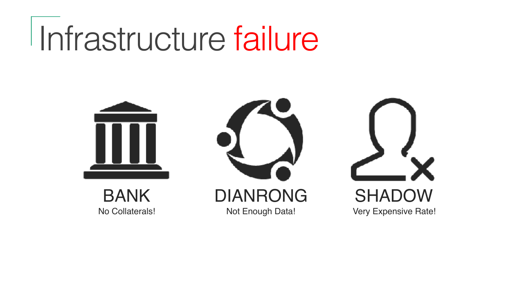### Infrastructure failure



BANK No Collaterals!



DIANRONG Not Enough Data!

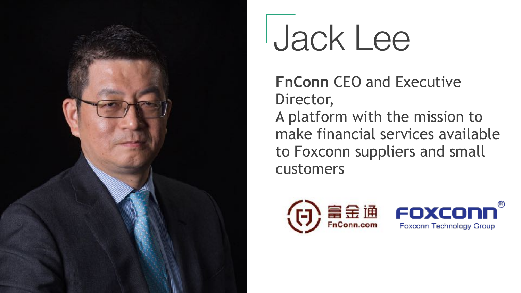

### Jack Lee

**FnConn** CEO and Executive Director, A platform with the mission to make financial services available to Foxconn suppliers and small customers

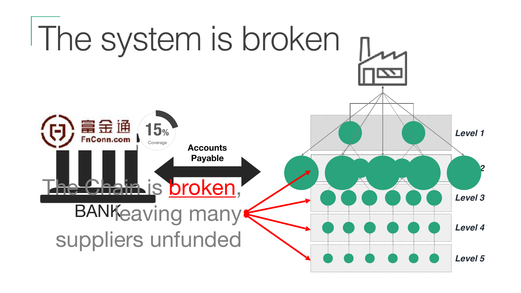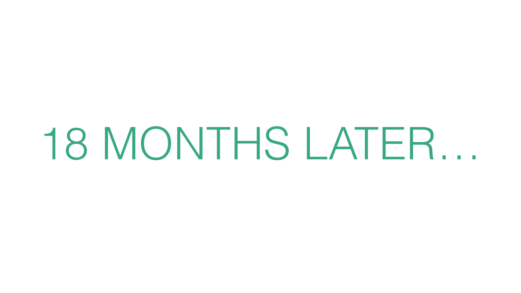# 18 MONTHS LATER…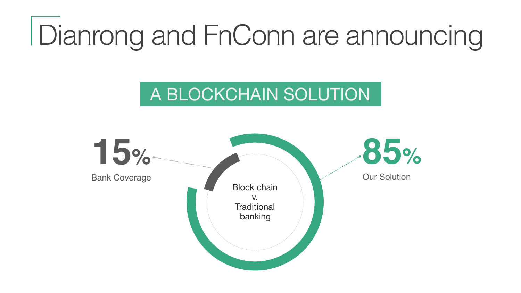#### Dianrong and FnConn are announcing

#### A BLOCKCHAIN SOLUTION

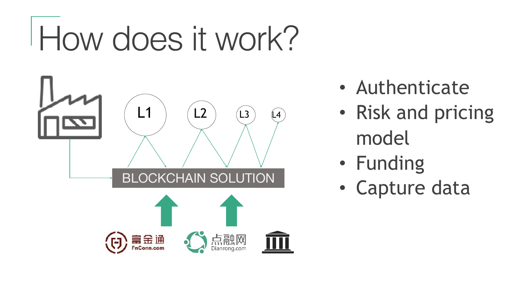## How does it work?



- Authenticate
- Risk and pricing model
- Funding
- Capture data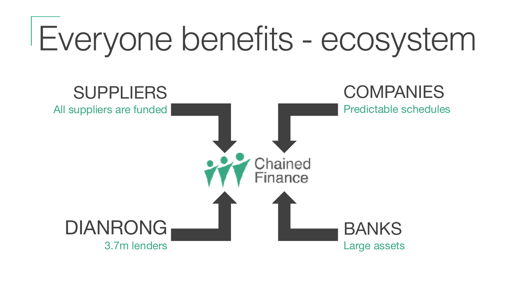## Everyone benefits - ecosystem

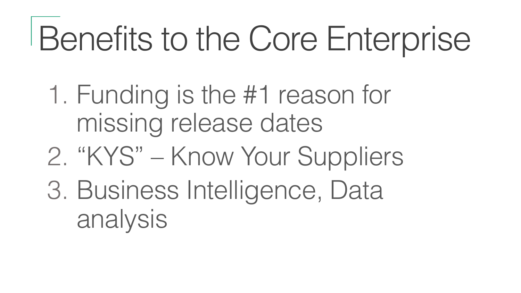## Benefits to the Core Enterprise

- 1. Funding is the #1 reason for missing release dates
- 2. "KYS" Know Your Suppliers
- 3. Business Intelligence, Data analysis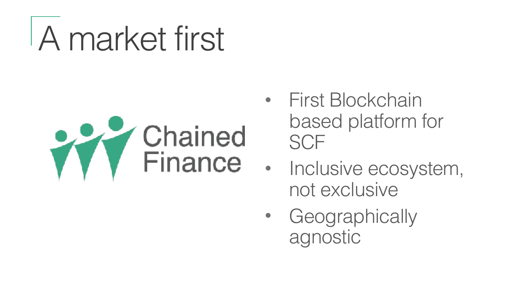## A market first



- First Blockchain based platform for **SCF**
- Inclusive ecosystem, not exclusive
	- Geographically agnostic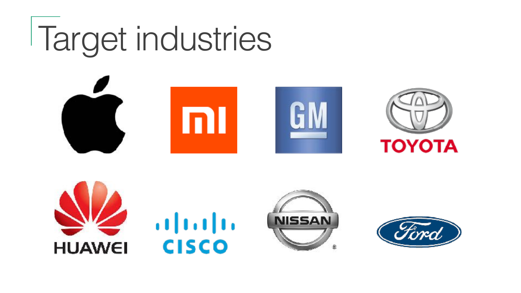## Target industries